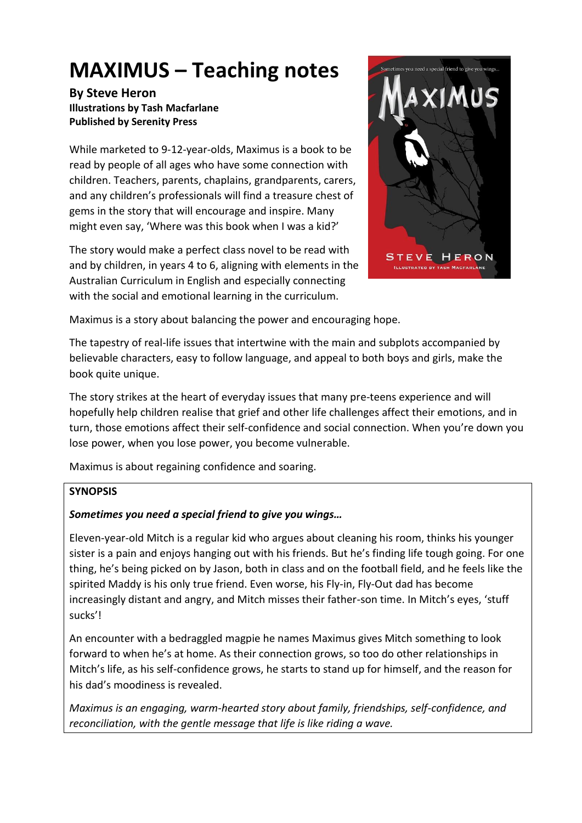# **MAXIMUS – Teaching notes**

### **By Steve Heron Illustrations by Tash Macfarlane Published by Serenity Press**

While marketed to 9-12-year-olds, Maximus is a book to be read by people of all ages who have some connection with children. Teachers, parents, chaplains, grandparents, carers, and any children's professionals will find a treasure chest of gems in the story that will encourage and inspire. Many might even say, 'Where was this book when I was a kid?'

The story would make a perfect class novel to be read with and by children, in years 4 to 6, aligning with elements in the Australian Curriculum in English and especially connecting with the social and emotional learning in the curriculum.



Maximus is a story about balancing the power and encouraging hope.

The tapestry of real-life issues that intertwine with the main and subplots accompanied by believable characters, easy to follow language, and appeal to both boys and girls, make the book quite unique.

The story strikes at the heart of everyday issues that many pre-teens experience and will hopefully help children realise that grief and other life challenges affect their emotions, and in turn, those emotions affect their self-confidence and social connection. When you're down you lose power, when you lose power, you become vulnerable.

Maximus is about regaining confidence and soaring.

## **SYNOPSIS**

## *Sometimes you need a special friend to give you wings…*

Eleven-year-old Mitch is a regular kid who argues about cleaning his room, thinks his younger sister is a pain and enjoys hanging out with his friends. But he's finding life tough going. For one thing, he's being picked on by Jason, both in class and on the football field, and he feels like the spirited Maddy is his only true friend. Even worse, his Fly-in, Fly-Out dad has become increasingly distant and angry, and Mitch misses their father-son time. In Mitch's eyes, 'stuff sucks'!

An encounter with a bedraggled magpie he names Maximus gives Mitch something to look forward to when he's at home. As their connection grows, so too do other relationships in Mitch's life, as his self-confidence grows, he starts to stand up for himself, and the reason for his dad's moodiness is revealed.

*Maximus is an engaging, warm-hearted story about family, friendships, self-confidence, and reconciliation, with the gentle message that life is like riding a wave.*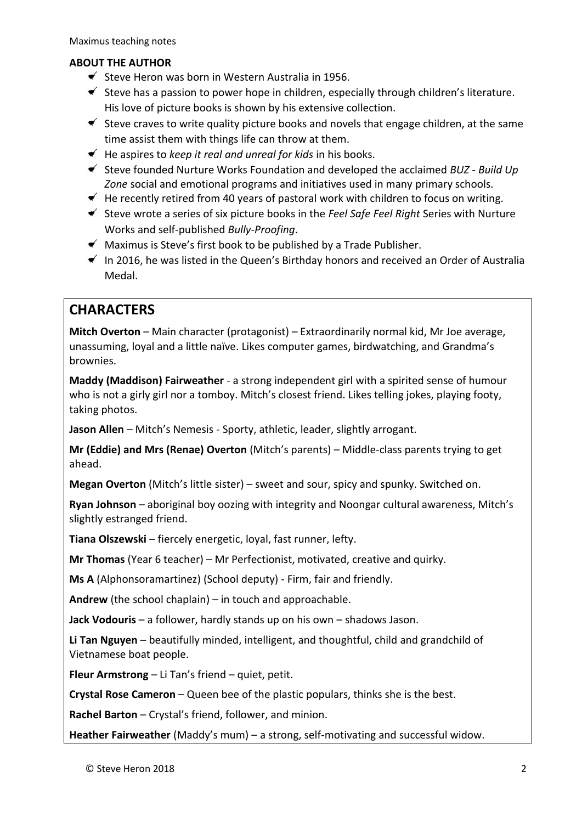## **ABOUT THE AUTHOR**

- $\leq$  Steve Heron was born in Western Australia in 1956.
- $\leq$  Steve has a passion to power hope in children, especially through children's literature. His love of picture books is shown by his extensive collection.
- $\blacktriangleright$  Steve craves to write quality picture books and novels that engage children, at the same time assist them with things life can throw at them.
- He aspires to *keep it real and unreal for kids* in his books.
- Steve founded Nurture Works Foundation and developed the acclaimed *BUZ - Build Up Zone* social and emotional programs and initiatives used in many primary schools.
- $\blacklozenge$  He recently retired from 40 years of pastoral work with children to focus on writing.
- Steve wrote a series of six picture books in the *Feel Safe Feel Right* Series with Nurture Works and self-published *Bully-Proofing*.
- $\blacktriangleright$  Maximus is Steve's first book to be published by a Trade Publisher.
- $\leq$  In 2016, he was listed in the Queen's Birthday honors and received an Order of Australia Medal.

# **CHARACTERS**

**Mitch Overton** – Main character (protagonist) – Extraordinarily normal kid, Mr Joe average, unassuming, loyal and a little naïve. Likes computer games, birdwatching, and Grandma's brownies.

**Maddy (Maddison) Fairweather** - a strong independent girl with a spirited sense of humour who is not a girly girl nor a tomboy. Mitch's closest friend. Likes telling jokes, playing footy, taking photos.

**Jason Allen** – Mitch's Nemesis - Sporty, athletic, leader, slightly arrogant.

**Mr (Eddie) and Mrs (Renae) Overton** (Mitch's parents) – Middle-class parents trying to get ahead.

**Megan Overton** (Mitch's little sister) – sweet and sour, spicy and spunky. Switched on.

**Ryan Johnson** – aboriginal boy oozing with integrity and Noongar cultural awareness, Mitch's slightly estranged friend.

**Tiana Olszewski** – fiercely energetic, loyal, fast runner, lefty.

**Mr Thomas** (Year 6 teacher) – Mr Perfectionist, motivated, creative and quirky.

**Ms A** (Alphonsoramartinez) (School deputy) - Firm, fair and friendly.

**Andrew** (the school chaplain) – in touch and approachable.

**Jack Vodouris** – a follower, hardly stands up on his own – shadows Jason.

**Li Tan Nguyen** – beautifully minded, intelligent, and thoughtful, child and grandchild of Vietnamese boat people.

**Fleur Armstrong** – Li Tan's friend – quiet, petit.

**Crystal Rose Cameron** – Queen bee of the plastic populars, thinks she is the best.

**Rachel Barton** – Crystal's friend, follower, and minion.

**Heather Fairweather** (Maddy's mum) – a strong, self-motivating and successful widow.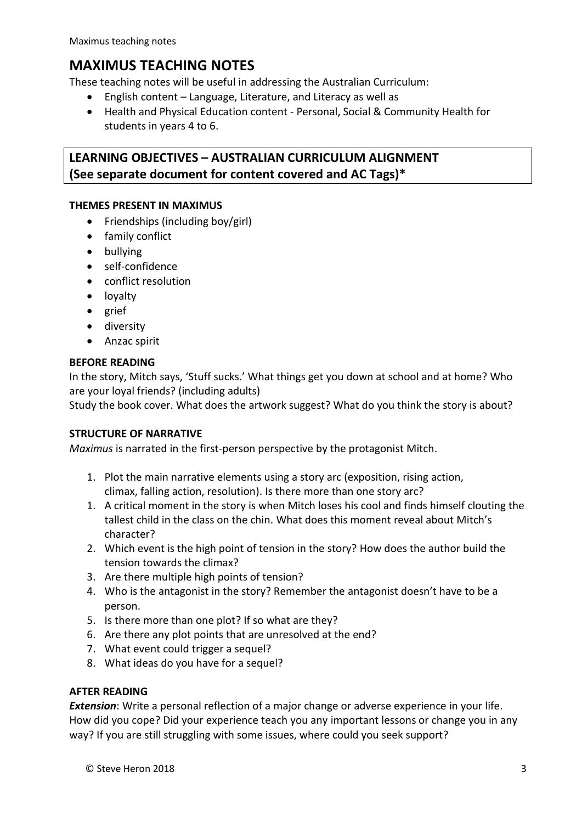# **MAXIMUS TEACHING NOTES**

These teaching notes will be useful in addressing the Australian Curriculum:

- English content Language, Literature, and Literacy as well as
- Health and Physical Education content Personal, Social & Community Health for students in years 4 to 6.

# **LEARNING OBJECTIVES – AUSTRALIAN CURRICULUM ALIGNMENT (See separate document for content covered and AC Tags)\***

### **THEMES PRESENT IN MAXIMUS**

- Friendships (including boy/girl)
- family conflict
- bullying
- self-confidence
- conflict resolution
- loyalty
- grief
- diversity
- Anzac spirit

#### **BEFORE READING**

In the story, Mitch says, 'Stuff sucks.' What things get you down at school and at home? Who are your loyal friends? (including adults)

Study the book cover. What does the artwork suggest? What do you think the story is about?

#### **STRUCTURE OF NARRATIVE**

*Maximus* is narrated in the first-person perspective by the protagonist Mitch.

- 1. Plot the main narrative elements using a story arc (exposition, rising action, climax, falling action, resolution). Is there more than one story arc?
- 1. A critical moment in the story is when Mitch loses his cool and finds himself clouting the tallest child in the class on the chin. What does this moment reveal about Mitch's character?
- 2. Which event is the high point of tension in the story? How does the author build the tension towards the climax?
- 3. Are there multiple high points of tension?
- 4. Who is the antagonist in the story? Remember the antagonist doesn't have to be a person.
- 5. Is there more than one plot? If so what are they?
- 6. Are there any plot points that are unresolved at the end?
- 7. What event could trigger a sequel?
- 8. What ideas do you have for a sequel?

#### **AFTER READING**

*Extension*: Write a personal reflection of a major change or adverse experience in your life. How did you cope? Did your experience teach you any important lessons or change you in any way? If you are still struggling with some issues, where could you seek support?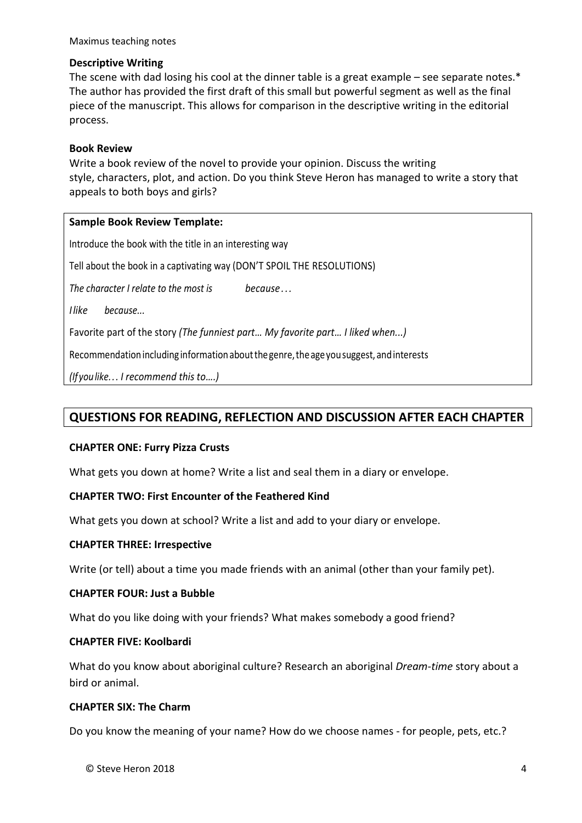Maximus teaching notes

#### **Descriptive Writing**

The scene with dad losing his cool at the dinner table is a great example – see separate notes.\* The author has provided the first draft of this small but powerful segment as well as the final piece of the manuscript. This allows for comparison in the descriptive writing in the editorial process.

#### **Book Review**

Write a book review of the novel to provide your opinion. Discuss the writing style, characters, plot, and action. Do you think Steve Heron has managed to write a story that appeals to both boys and girls?

#### **Sample Book Review Template:**

Introduce the book with the title in an interesting way

Tell about the book in a captivating way (DON'T SPOIL THE RESOLUTIONS)

*The character I relate to the most is because . ..*

*Ilike because...*

Favorite part of the story *(The funniest part… My favorite part… I liked when...)*

Recommendation including information about the genre, the age you suggest, and interests

*(Ifyoulike... I recommend this to….)*

# **QUESTIONS FOR READING, REFLECTION AND DISCUSSION AFTER EACH CHAPTER**

#### **CHAPTER ONE: Furry Pizza Crusts**

What gets you down at home? Write a list and seal them in a diary or envelope.

#### **CHAPTER TWO: First Encounter of the Feathered Kind**

What gets you down at school? Write a list and add to your diary or envelope.

#### **CHAPTER THREE: Irrespective**

Write (or tell) about a time you made friends with an animal (other than your family pet).

#### **CHAPTER FOUR: Just a Bubble**

What do you like doing with your friends? What makes somebody a good friend?

#### **CHAPTER FIVE: Koolbardi**

What do you know about aboriginal culture? Research an aboriginal *Dream-time* story about a bird or animal.

#### **CHAPTER SIX: The Charm**

Do you know the meaning of your name? How do we choose names - for people, pets, etc.?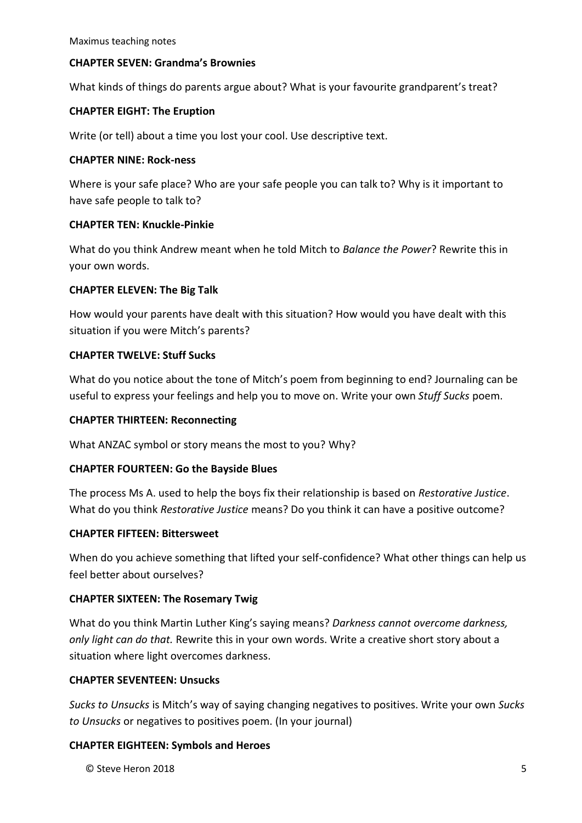#### **CHAPTER SEVEN: Grandma's Brownies**

What kinds of things do parents argue about? What is your favourite grandparent's treat?

#### **CHAPTER EIGHT: The Eruption**

Write (or tell) about a time you lost your cool. Use descriptive text.

#### **CHAPTER NINE: Rock-ness**

Where is your safe place? Who are your safe people you can talk to? Why is it important to have safe people to talk to?

#### **CHAPTER TEN: Knuckle-Pinkie**

What do you think Andrew meant when he told Mitch to *Balance the Power*? Rewrite this in your own words.

#### **CHAPTER ELEVEN: The Big Talk**

How would your parents have dealt with this situation? How would you have dealt with this situation if you were Mitch's parents?

#### **CHAPTER TWELVE: Stuff Sucks**

What do you notice about the tone of Mitch's poem from beginning to end? Journaling can be useful to express your feelings and help you to move on. Write your own *Stuff Sucks* poem.

#### **CHAPTER THIRTEEN: Reconnecting**

What ANZAC symbol or story means the most to you? Why?

#### **CHAPTER FOURTEEN: Go the Bayside Blues**

The process Ms A. used to help the boys fix their relationship is based on *Restorative Justice*. What do you think *Restorative Justice* means? Do you think it can have a positive outcome?

#### **CHAPTER FIFTEEN: Bittersweet**

When do you achieve something that lifted your self-confidence? What other things can help us feel better about ourselves?

#### **CHAPTER SIXTEEN: The Rosemary Twig**

What do you think Martin Luther King's saying means? *Darkness cannot overcome darkness, only light can do that.* Rewrite this in your own words. Write a creative short story about a situation where light overcomes darkness.

#### **CHAPTER SEVENTEEN: Unsucks**

*Sucks to Unsucks* is Mitch's way of saying changing negatives to positives. Write your own *Sucks to Unsucks* or negatives to positives poem. (In your journal)

#### **CHAPTER EIGHTEEN: Symbols and Heroes**

 $\heartsuit$  Steve Heron 2018  $\qquad \qquad$